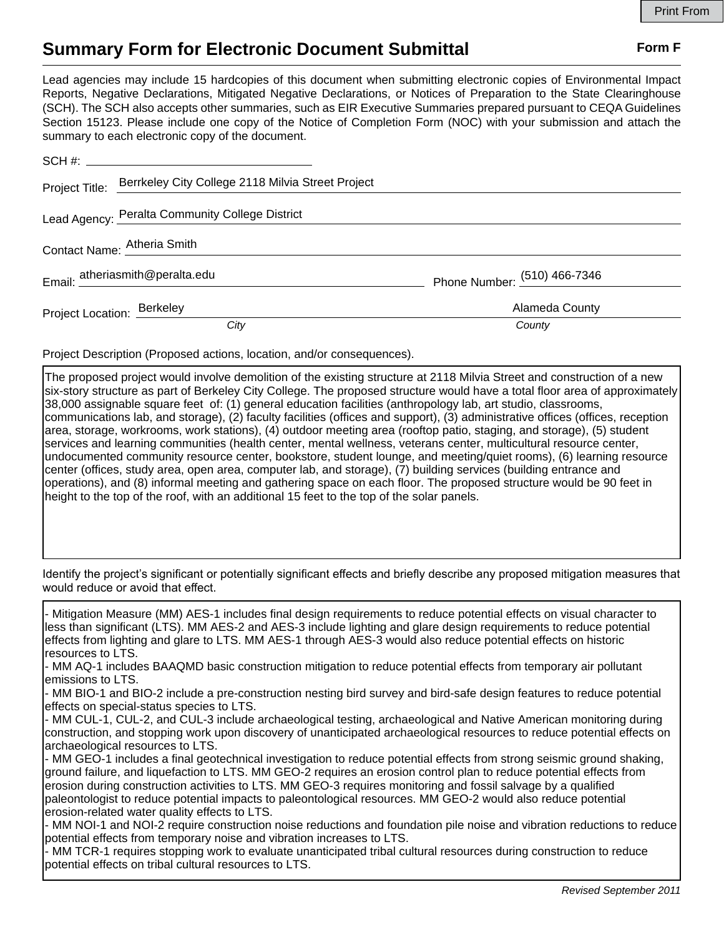## **Summary Form for Electronic Document Submittal Form F Form F**

Lead agencies may include 15 hardcopies of this document when submitting electronic copies of Environmental Impact Reports, Negative Declarations, Mitigated Negative Declarations, or Notices of Preparation to the State Clearinghouse (SCH). The SCH also accepts other summaries, such as EIR Executive Summaries prepared pursuant to CEQA Guidelines Section 15123. Please include one copy of the Notice of Completion Form (NOC) with your submission and attach the summary to each electronic copy of the document.

|                            | Project Title: Berrkeley City College 2118 Milvia Street Project |                                |
|----------------------------|------------------------------------------------------------------|--------------------------------|
|                            | Lead Agency: Peralta Community College District                  |                                |
|                            | Contact Name: Atheria Smith                                      |                                |
|                            | Email: atheriasmith@peralta.edu                                  | Phone Number: $(510)$ 466-7346 |
| Project Location: Berkeley |                                                                  | Alameda County                 |
|                            | City                                                             | County                         |

Project Description (Proposed actions, location, and/or consequences).

The proposed project would involve demolition of the existing structure at 2118 Milvia Street and construction of a new six-story structure as part of Berkeley City College. The proposed structure would have a total floor area of approximately 38,000 assignable square feet of: (1) general education facilities (anthropology lab, art studio, classrooms, communications lab, and storage), (2) faculty facilities (offices and support), (3) administrative offices (offices, reception area, storage, workrooms, work stations), (4) outdoor meeting area (rooftop patio, staging, and storage), (5) student services and learning communities (health center, mental wellness, veterans center, multicultural resource center, undocumented community resource center, bookstore, student lounge, and meeting/quiet rooms), (6) learning resource center (offices, study area, open area, computer lab, and storage), (7) building services (building entrance and operations), and (8) informal meeting and gathering space on each floor. The proposed structure would be 90 feet in height to the top of the roof, with an additional 15 feet to the top of the solar panels.

Identify the project's significant or potentially significant effects and briefly describe any proposed mitigation measures that would reduce or avoid that effect.

- Mitigation Measure (MM) AES-1 includes final design requirements to reduce potential effects on visual character to less than significant (LTS). MM AES-2 and AES-3 include lighting and glare design requirements to reduce potential effects from lighting and glare to LTS. MM AES-1 through AES-3 would also reduce potential effects on historic resources to LTS.

- MM AQ-1 includes BAAQMD basic construction mitigation to reduce potential effects from temporary air pollutant emissions to LTS.

- MM BIO-1 and BIO-2 include a pre-construction nesting bird survey and bird-safe design features to reduce potential effects on special-status species to LTS.

- MM CUL-1, CUL-2, and CUL-3 include archaeological testing, archaeological and Native American monitoring during construction, and stopping work upon discovery of unanticipated archaeological resources to reduce potential effects on archaeological resources to LTS.

- MM GEO-1 includes a final geotechnical investigation to reduce potential effects from strong seismic ground shaking, ground failure, and liquefaction to LTS. MM GEO-2 requires an erosion control plan to reduce potential effects from erosion during construction activities to LTS. MM GEO-3 requires monitoring and fossil salvage by a qualified paleontologist to reduce potential impacts to paleontological resources. MM GEO-2 would also reduce potential erosion-related water quality effects to LTS.

- MM NOI-1 and NOI-2 require construction noise reductions and foundation pile noise and vibration reductions to reduce potential effects from temporary noise and vibration increases to LTS.

- MM TCR-1 requires stopping work to evaluate unanticipated tribal cultural resources during construction to reduce potential effects on tribal cultural resources to LTS.